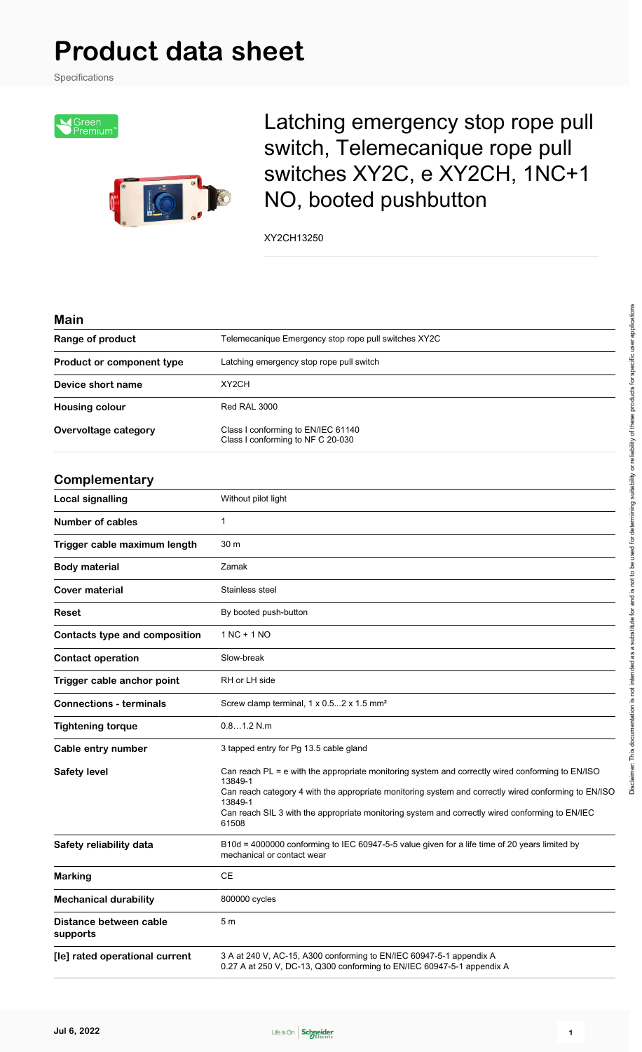# **Product data sheet**

Specifications



Latching emergency stop rope pull switch, Telemecanique rope pull switches XY2C, e XY2CH, 1NC+1 NO, booted pushbutton

XY2CH13250

| M | aı | ı |
|---|----|---|
|   |    |   |

| Main                                 |                                                                                                                                                                                                                                                                                                                                            |  |  |
|--------------------------------------|--------------------------------------------------------------------------------------------------------------------------------------------------------------------------------------------------------------------------------------------------------------------------------------------------------------------------------------------|--|--|
| Range of product                     | Telemecanique Emergency stop rope pull switches XY2C                                                                                                                                                                                                                                                                                       |  |  |
| Product or component type            | Latching emergency stop rope pull switch                                                                                                                                                                                                                                                                                                   |  |  |
| Device short name                    | XY <sub>2</sub> CH                                                                                                                                                                                                                                                                                                                         |  |  |
| <b>Housing colour</b>                | Red RAL 3000                                                                                                                                                                                                                                                                                                                               |  |  |
| Overvoltage category                 | Class I conforming to EN/IEC 61140<br>Class I conforming to NF C 20-030                                                                                                                                                                                                                                                                    |  |  |
| Complementary                        |                                                                                                                                                                                                                                                                                                                                            |  |  |
| <b>Local signalling</b>              | Without pilot light                                                                                                                                                                                                                                                                                                                        |  |  |
| <b>Number of cables</b>              | $\mathbf{1}$                                                                                                                                                                                                                                                                                                                               |  |  |
| Trigger cable maximum length         | 30 m                                                                                                                                                                                                                                                                                                                                       |  |  |
| <b>Body material</b>                 | Zamak                                                                                                                                                                                                                                                                                                                                      |  |  |
| Cover material                       | Stainless steel                                                                                                                                                                                                                                                                                                                            |  |  |
| Reset                                | By booted push-button                                                                                                                                                                                                                                                                                                                      |  |  |
| <b>Contacts type and composition</b> | $1 NC + 1 NO$                                                                                                                                                                                                                                                                                                                              |  |  |
| <b>Contact operation</b>             | Slow-break                                                                                                                                                                                                                                                                                                                                 |  |  |
| Trigger cable anchor point           | RH or LH side                                                                                                                                                                                                                                                                                                                              |  |  |
| <b>Connections - terminals</b>       | Screw clamp terminal, $1 \times 0.52 \times 1.5$ mm <sup>2</sup>                                                                                                                                                                                                                                                                           |  |  |
| <b>Tightening torque</b>             | 0.81.2 N.m                                                                                                                                                                                                                                                                                                                                 |  |  |
| Cable entry number                   | 3 tapped entry for Pg 13.5 cable gland                                                                                                                                                                                                                                                                                                     |  |  |
| <b>Safety level</b>                  | Can reach PL = e with the appropriate monitoring system and correctly wired conforming to EN/ISO<br>13849-1<br>Can reach category 4 with the appropriate monitoring system and correctly wired conforming to EN/ISO<br>13849-1<br>Can reach SIL 3 with the appropriate monitoring system and correctly wired conforming to EN/IEC<br>61508 |  |  |
| Safety reliability data              | B10d = 4000000 conforming to IEC 60947-5-5 value given for a life time of 20 years limited by<br>mechanical or contact wear                                                                                                                                                                                                                |  |  |
| <b>Marking</b>                       | CE                                                                                                                                                                                                                                                                                                                                         |  |  |
| <b>Mechanical durability</b>         | 800000 cycles                                                                                                                                                                                                                                                                                                                              |  |  |
| Distance between cable<br>supports   | 5 <sub>m</sub>                                                                                                                                                                                                                                                                                                                             |  |  |
| [le] rated operational current       | 3 A at 240 V, AC-15, A300 conforming to EN/IEC 60947-5-1 appendix A<br>0.27 A at 250 V, DC-13, Q300 conforming to EN/IEC 60947-5-1 appendix A                                                                                                                                                                                              |  |  |

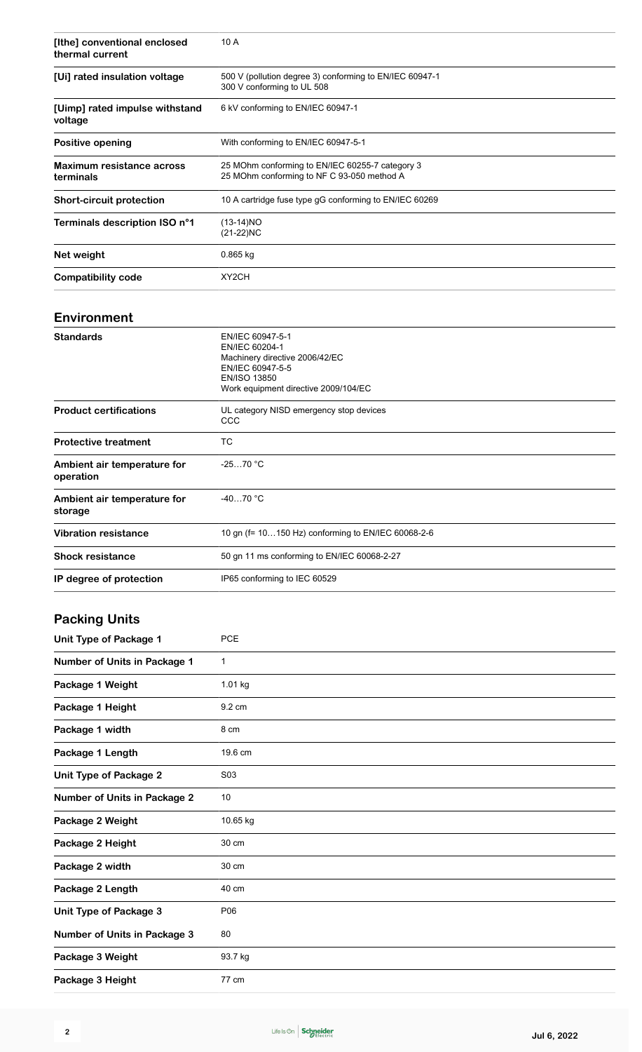| [Ithe] conventional enclosed<br>thermal current | 10 A                                                                                                                                                    |  |  |
|-------------------------------------------------|---------------------------------------------------------------------------------------------------------------------------------------------------------|--|--|
| [Ui] rated insulation voltage                   | 500 V (pollution degree 3) conforming to EN/IEC 60947-1<br>300 V conforming to UL 508                                                                   |  |  |
| [Uimp] rated impulse withstand<br>voltage       | 6 kV conforming to EN/IEC 60947-1                                                                                                                       |  |  |
| Positive opening                                | With conforming to EN/IEC 60947-5-1                                                                                                                     |  |  |
| Maximum resistance across<br>terminals          | 25 MOhm conforming to EN/IEC 60255-7 category 3<br>25 MOhm conforming to NF C 93-050 method A                                                           |  |  |
| <b>Short-circuit protection</b>                 | 10 A cartridge fuse type gG conforming to EN/IEC 60269                                                                                                  |  |  |
| Terminals description ISO n°1                   | $(13-14)NO$<br>$(21-22)NC$                                                                                                                              |  |  |
| Net weight                                      | 0.865 kg                                                                                                                                                |  |  |
| <b>Compatibility code</b>                       | XY2CH                                                                                                                                                   |  |  |
| Environment                                     |                                                                                                                                                         |  |  |
| <b>Standards</b>                                | EN/IEC 60947-5-1<br>EN/IEC 60204-1<br>Machinery directive 2006/42/EC<br>EN/IEC 60947-5-5<br><b>EN/ISO 13850</b><br>Work equipment directive 2009/104/EC |  |  |
| <b>Product certifications</b>                   | UL category NISD emergency stop devices<br>CCC                                                                                                          |  |  |
| <b>Protective treatment</b>                     | ТC                                                                                                                                                      |  |  |
| Ambient air temperature for<br>operation        | $-2570 °C$                                                                                                                                              |  |  |
| Ambient air temperature for<br>storage          | $-4070 °C$                                                                                                                                              |  |  |
| <b>Vibration resistance</b>                     | 10 gn (f= 10150 Hz) conforming to EN/IEC 60068-2-6                                                                                                      |  |  |
| <b>Shock resistance</b>                         | 50 gn 11 ms conforming to EN/IEC 60068-2-27                                                                                                             |  |  |
| IP degree of protection                         | IP65 conforming to IEC 60529                                                                                                                            |  |  |
| <b>Packing Units</b>                            |                                                                                                                                                         |  |  |
| <b>Unit Type of Package 1</b>                   | <b>PCE</b>                                                                                                                                              |  |  |
| <b>Number of Units in Package 1</b>             | 1                                                                                                                                                       |  |  |
| Package 1 Weight                                | 1.01 kg                                                                                                                                                 |  |  |
|                                                 |                                                                                                                                                         |  |  |

| Package 1 Weight                    | $1.01$ kg        |
|-------------------------------------|------------------|
| Package 1 Height                    | 9.2 cm           |
| Package 1 width                     | 8 cm             |
| Package 1 Length                    | 19.6 cm          |
| <b>Unit Type of Package 2</b>       | S <sub>0</sub> 3 |
| <b>Number of Units in Package 2</b> | 10               |
| Package 2 Weight                    | 10.65 kg         |
| Package 2 Height                    | 30 cm            |
| Package 2 width                     | 30 cm            |
| Package 2 Length                    | 40 cm            |
| <b>Unit Type of Package 3</b>       | P06              |
| <b>Number of Units in Package 3</b> | 80               |
| Package 3 Weight                    | 93.7 kg          |
| Package 3 Height                    | 77 cm            |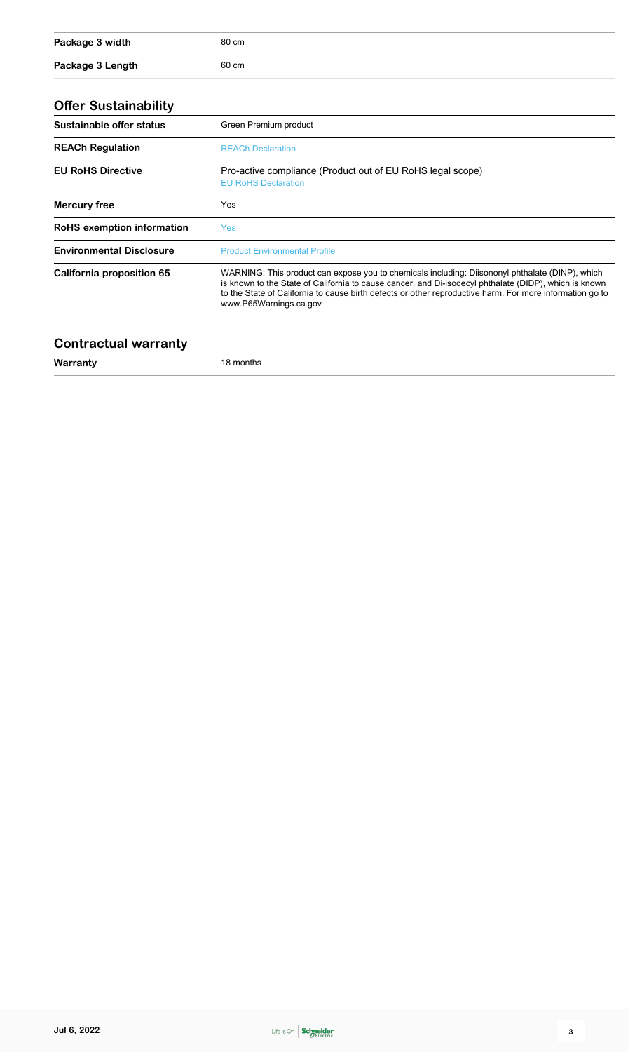| Package 3 width  | 80 cm |
|------------------|-------|
| Package 3 Length | 60 cm |

### **Offer Sustainability**

| Sustainable offer status         | Green Premium product                                                                                                                                                                                                                                                                                                                          |  |
|----------------------------------|------------------------------------------------------------------------------------------------------------------------------------------------------------------------------------------------------------------------------------------------------------------------------------------------------------------------------------------------|--|
| <b>REACh Regulation</b>          | <b>REACh Declaration</b>                                                                                                                                                                                                                                                                                                                       |  |
| <b>EU RoHS Directive</b>         | Pro-active compliance (Product out of EU RoHS legal scope)<br><b>EU RoHS Declaration</b>                                                                                                                                                                                                                                                       |  |
| Mercury free                     | Yes                                                                                                                                                                                                                                                                                                                                            |  |
| RoHS exemption information       | Yes                                                                                                                                                                                                                                                                                                                                            |  |
| <b>Environmental Disclosure</b>  | <b>Product Environmental Profile</b>                                                                                                                                                                                                                                                                                                           |  |
| <b>California proposition 65</b> | WARNING: This product can expose you to chemicals including: Diisononyl phthalate (DINP), which<br>is known to the State of California to cause cancer, and Di-isodecyl phthalate (DIDP), which is known<br>to the State of California to cause birth defects or other reproductive harm. For more information go to<br>www.P65Warnings.ca.gov |  |

### **Contractual warranty**

**Warranty** 18 months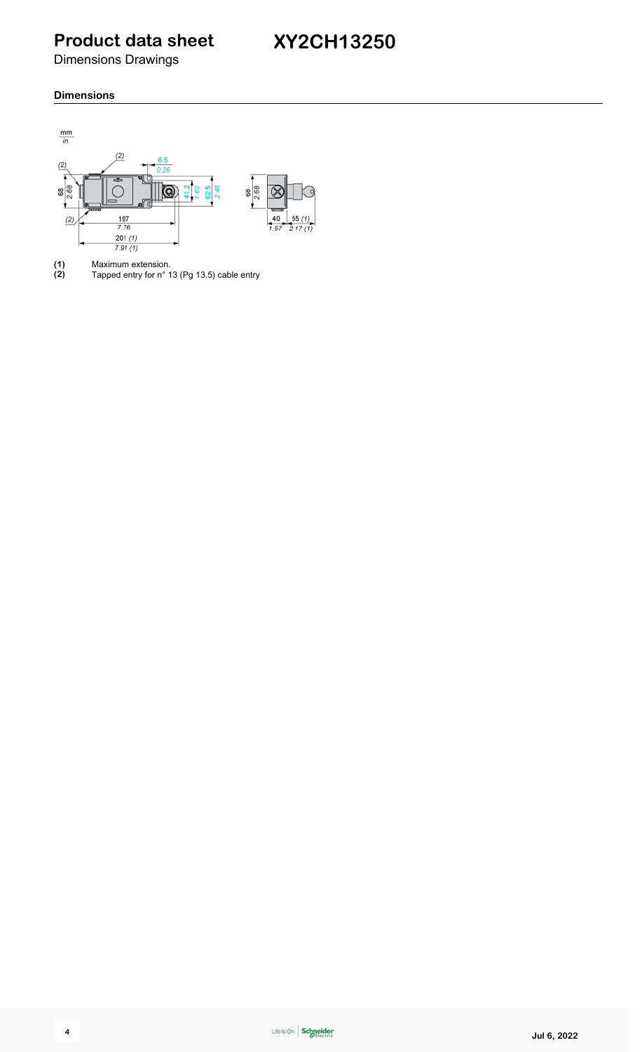**Product data sheet**

Dimensions Drawings

#### **Dimensions**



**(1)** Maximum extension. **(2)** Tapped entry for n° 13 (Pg 13.5) cable entry